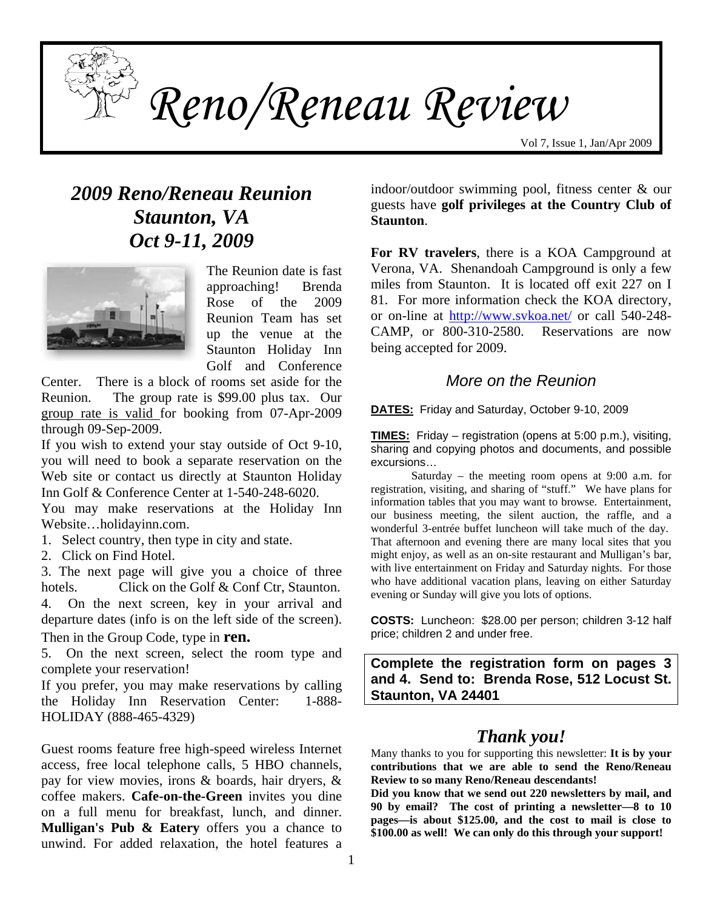

*Reno/Reneau Review* 

Vol 7, Issue 1, Jan/Apr 2009

# *2009 Reno/Reneau Reunion Staunton, VA Oct 9-11, 2009*



The Reunion date is fast approaching! Brenda Rose of the 2009 Reunion Team has set up the venue at the Staunton Holiday Inn Golf and Conference

Center. There is a block of rooms set aside for the Reunion. The group rate is \$99.00 plus tax. Our group rate is valid for booking from 07-Apr-2009 through 09-Sep-2009.

If you wish to extend your stay outside of Oct 9-10, you will need to book a separate reservation on the Web site or contact us directly at Staunton Holiday Inn Golf & Conference Center at 1-540-248-6020.

You may make reservations at the Holiday Inn Website…holidayinn.com.

1. Select country, then type in city and state.

2. Click on Find Hotel.

3. The next page will give you a choice of three hotels. Click on the Golf & Conf Ctr, Staunton. 4. On the next screen, key in your arrival and departure dates (info is on the left side of the screen). Then in the Group Code, type in **ren.**

5. On the next screen, select the room type and complete your reservation!

If you prefer, you may make reservations by calling the Holiday Inn Reservation Center: 1-888- HOLIDAY (888-465-4329)

Guest rooms feature free high-speed wireless Internet access, free local telephone calls, 5 HBO channels, pay for view movies, irons & boards, hair dryers, & coffee makers. **Cafe-on-the-Green** invites you dine on a full menu for breakfast, lunch, and dinner. **Mulligan's Pub & Eatery** offers you a chance to unwind. For added relaxation, the hotel features a

indoor/outdoor swimming pool, fitness center & our guests have **golf privileges at the Country Club of Staunton**.

**For RV travelers**, there is a KOA Campground at Verona, VA. Shenandoah Campground is only a few miles from Staunton. It is located off exit 227 on I 81. For more information check the KOA directory, or on-line at <http://www.svkoa.net/> or call 540-248- CAMP, or 800-310-2580. Reservations are now being accepted for 2009.

### *More on the Reunion*

**DATES:** Friday and Saturday, October 9-10, 2009

**TIMES:** Friday – registration (opens at 5:00 p.m.), visiting, sharing and copying photos and documents, and possible excursions…

 Saturday – the meeting room opens at 9:00 a.m. for registration, visiting, and sharing of "stuff." We have plans for information tables that you may want to browse. Entertainment, our business meeting, the silent auction, the raffle, and a wonderful 3-entrée buffet luncheon will take much of the day. That afternoon and evening there are many local sites that you might enjoy, as well as an on-site restaurant and Mulligan's bar, with live entertainment on Friday and Saturday nights. For those who have additional vacation plans, leaving on either Saturday evening or Sunday will give you lots of options.

**COSTS:** Luncheon: \$28.00 per person; children 3-12 half price; children 2 and under free.

**Complete the registration form on pages 3 and 4. Send to: Brenda Rose, 512 Locust St. Staunton, VA 24401** 

# *Thank you!*

Many thanks to you for supporting this newsletter: **It is by your contributions that we are able to send the Reno/Reneau Review to so many Reno/Reneau descendants!** 

**Did you know that we send out 220 newsletters by mail, and 90 by email? The cost of printing a newsletter—8 to 10 pages—is about \$125.00, and the cost to mail is close to \$100.00 as well! We can only do this through your support!**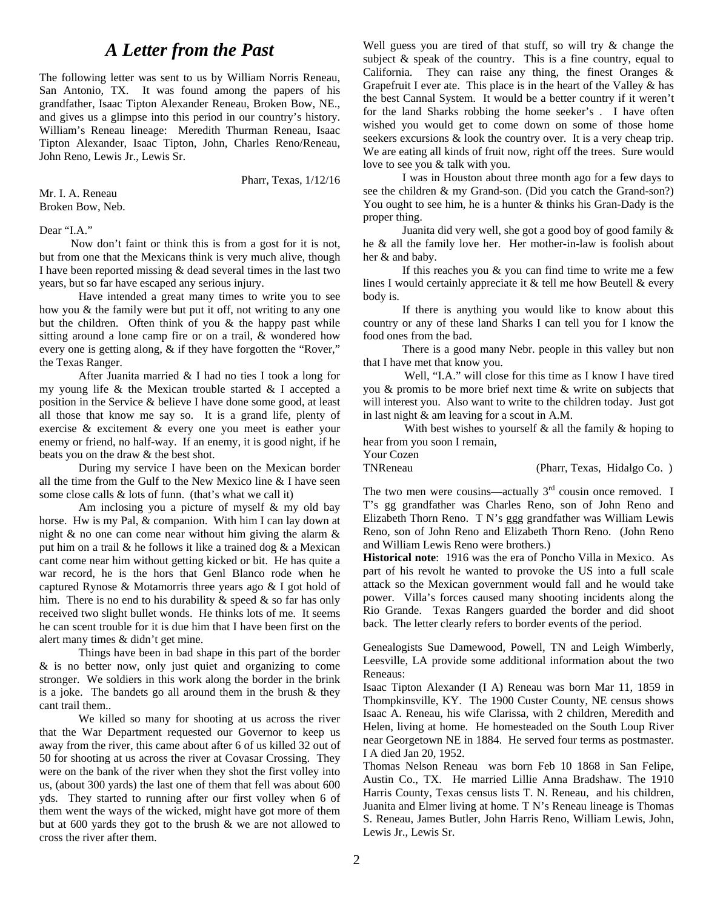# *A Letter from the Past*

The following letter was sent to us by William Norris Reneau, San Antonio, TX. It was found among the papers of his grandfather, Isaac Tipton Alexander Reneau, Broken Bow, NE., and gives us a glimpse into this period in our country's history. William's Reneau lineage: Meredith Thurman Reneau, Isaac Tipton Alexander, Isaac Tipton, John, Charles Reno/Reneau, John Reno, Lewis Jr., Lewis Sr.

Pharr, Texas, 1/12/16

Mr. I. A. Reneau Broken Bow, Neb.

#### Dear "I.A."

 Now don't faint or think this is from a gost for it is not, but from one that the Mexicans think is very much alive, though I have been reported missing & dead several times in the last two years, but so far have escaped any serious injury.

 Have intended a great many times to write you to see how you & the family were but put it off, not writing to any one but the children. Often think of you & the happy past while sitting around a lone camp fire or on a trail, & wondered how every one is getting along, & if they have forgotten the "Rover," the Texas Ranger.

 After Juanita married & I had no ties I took a long for my young life & the Mexican trouble started & I accepted a position in the Service & believe I have done some good, at least all those that know me say so. It is a grand life, plenty of exercise & excitement & every one you meet is eather your enemy or friend, no half-way. If an enemy, it is good night, if he beats you on the draw & the best shot.

 During my service I have been on the Mexican border all the time from the Gulf to the New Mexico line & I have seen some close calls & lots of funn. (that's what we call it)

 Am inclosing you a picture of myself & my old bay horse. Hw is my Pal, & companion. With him I can lay down at night  $\&$  no one can come near without him giving the alarm  $\&$ put him on a trail & he follows it like a trained dog & a Mexican cant come near him without getting kicked or bit. He has quite a war record, he is the hors that Genl Blanco rode when he captured Rynose & Motamorris three years ago & I got hold of him. There is no end to his durability & speed & so far has only received two slight bullet wonds. He thinks lots of me. It seems he can scent trouble for it is due him that I have been first on the alert many times & didn't get mine.

 Things have been in bad shape in this part of the border & is no better now, only just quiet and organizing to come stronger. We soldiers in this work along the border in the brink is a joke. The bandets go all around them in the brush  $&$  they cant trail them..

 We killed so many for shooting at us across the river that the War Department requested our Governor to keep us away from the river, this came about after 6 of us killed 32 out of 50 for shooting at us across the river at Covasar Crossing. They were on the bank of the river when they shot the first volley into us, (about 300 yards) the last one of them that fell was about 600 yds. They started to running after our first volley when 6 of them went the ways of the wicked, might have got more of them but at 600 yards they got to the brush & we are not allowed to cross the river after them.

Well guess you are tired of that stuff, so will try & change the subject  $\&$  speak of the country. This is a fine country, equal to California. They can raise any thing, the finest Oranges  $\&$ Grapefruit I ever ate. This place is in the heart of the Valley  $\&$  has the best Cannal System. It would be a better country if it weren't for the land Sharks robbing the home seeker's . I have often wished you would get to come down on some of those home seekers excursions & look the country over. It is a very cheap trip. We are eating all kinds of fruit now, right off the trees. Sure would love to see you & talk with you.

 I was in Houston about three month ago for a few days to see the children & my Grand-son. (Did you catch the Grand-son?) You ought to see him, he is a hunter & thinks his Gran-Dady is the proper thing.

 Juanita did very well, she got a good boy of good family & he & all the family love her. Her mother-in-law is foolish about her & and baby.

If this reaches you  $\&$  you can find time to write me a few lines I would certainly appreciate it & tell me how Beutell & every body is.

 If there is anything you would like to know about this country or any of these land Sharks I can tell you for I know the food ones from the bad.

 There is a good many Nebr. people in this valley but non that I have met that know you.

 Well, "I.A." will close for this time as I know I have tired you & promis to be more brief next time & write on subjects that will interest you. Also want to write to the children today. Just got in last night & am leaving for a scout in A.M.

With best wishes to yourself  $\&$  all the family  $\&$  hoping to hear from you soon I remain,

| Your Cozen |                             |  |
|------------|-----------------------------|--|
| TNReneau   | (Pharr, Texas, Hidalgo Co.) |  |

The two men were cousins—actually  $3<sup>rd</sup>$  cousin once removed. I T's gg grandfather was Charles Reno, son of John Reno and Elizabeth Thorn Reno. T N's ggg grandfather was William Lewis Reno, son of John Reno and Elizabeth Thorn Reno. (John Reno and William Lewis Reno were brothers.)

**Historical note**: 1916 was the era of Poncho Villa in Mexico. As part of his revolt he wanted to provoke the US into a full scale attack so the Mexican government would fall and he would take power. Villa's forces caused many shooting incidents along the Rio Grande. Texas Rangers guarded the border and did shoot back. The letter clearly refers to border events of the period.

Genealogists Sue Damewood, Powell, TN and Leigh Wimberly, Leesville, LA provide some additional information about the two Reneaus:

Isaac Tipton Alexander (I A) Reneau was born Mar 11, 1859 in Thompkinsville, KY. The 1900 Custer County, NE census shows Isaac A. Reneau, his wife Clarissa, with 2 children, Meredith and Helen, living at home. He homesteaded on the South Loup River near Georgetown NE in 1884. He served four terms as postmaster. I A died Jan 20, 1952.

Thomas Nelson Reneau was born Feb 10 1868 in San Felipe, Austin Co., TX. He married Lillie Anna Bradshaw. The 1910 Harris County, Texas census lists T. N. Reneau, and his children, Juanita and Elmer living at home. T N's Reneau lineage is Thomas S. Reneau, James Butler, John Harris Reno, William Lewis, John, Lewis Jr., Lewis Sr.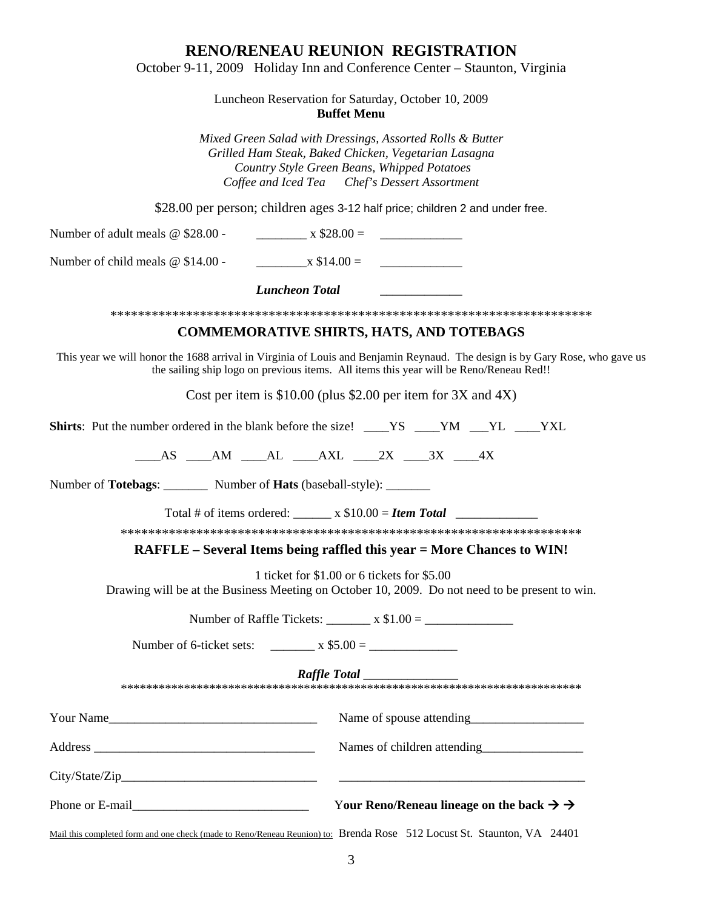### **RENO/RENEAU REUNION REGISTRATION**

October 9-11, 2009 Holiday Inn and Conference Center – Staunton, Virginia

Luncheon Reservation for Saturday, October 10, 2009 **Buffet Menu** 

*Mixed Green Salad with Dressings, Assorted Rolls & Butter Grilled Ham Steak, Baked Chicken, Vegetarian Lasagna Country Style Green Beans, Whipped Potatoes Coffee and Iced Tea Chef's Dessert Assortment* 

\$28.00 per person; children ages 3-12 half price; children 2 and under free.

Number of adult meals @ \$28.00 - \_\_\_\_\_\_\_\_ x \$28.00 = \_\_\_\_\_\_\_\_\_\_\_\_\_

Number of child meals  $\omega$  \$14.00 - x \$14.00 =

*Luncheon Total* \_\_\_\_\_\_\_\_\_\_\_\_\_

\*\*\*\*\*\*\*\*\*\*\*\*\*\*\*\*\*\*\*\*\*\*\*\*\*\*\*\*\*\*\*\*\*\*\*\*\*\*\*\*\*\*\*\*\*\*\*\*\*\*\*\*\*\*\*\*\*\*\*\*\*\*\*\*\*\*\*\*\*\*

### **COMMEMORATIVE SHIRTS, HATS, AND TOTEBAGS**

This year we will honor the 1688 arrival in Virginia of Louis and Benjamin Reynaud. The design is by Gary Rose, who gave us the sailing ship logo on previous items. All items this year will be Reno/Reneau Red!!

Cost per item is \$10.00 (plus \$2.00 per item for 3X and 4X)

**Shirts**: Put the number ordered in the blank before the size! YS YM YL YXL

 $AS$   $AM$   $AL$   $AXL$   $2X$   $3X$   $4X$ 

Number of **Totebags**: Number of **Hats** (baseball-style):

Total # of items ordered:  $x $10.00 =$  *Item Total* 

\*\*\*\*\*\*\*\*\*\*\*\*\*\*\*\*\*\*\*\*\*\*\*\*\*\*\*\*\*\*\*\*\*\*\*\*\*\*\*\*\*\*\*\*\*\*\*\*\*\*\*\*\*\*\*\*\*\*\*\*\*\*\*\*\*\*\*

**RAFFLE – Several Items being raffled this year = More Chances to WIN!**

1 ticket for \$1.00 or 6 tickets for \$5.00

Drawing will be at the Business Meeting on October 10, 2009. Do not need to be present to win.

Number of Raffle Tickets: \_\_\_\_\_\_\_ x \$1.00 = \_\_\_\_\_\_\_\_\_\_\_\_\_\_

Number of 6-ticket sets:  $\frac{1}{2}$  x \$5.00 =  $\frac{1}{2}$ 

*Raffle Total* \_\_\_\_\_\_\_\_\_\_\_\_\_\_\_

| $\cdot$<br>.<br>.<br>$\cdots$<br>.<br>1.719.719.7<br>$\cdots$<br>$\cdot$<br>$\overline{\phantom{a}}$<br>$\cdots$<br>$\sim$ 213 213 213 213 213 213 213 213 213 2<br>$\cdots$<br>$\cdot$<br>$\sim$<br>$\cdots$<br>$\overline{\phantom{a}}$<br>$\cdots$<br>$\overline{\phantom{a}}$<br><br><br>$\cdots$<br>$\sim$<br>$\sim$ |
|---------------------------------------------------------------------------------------------------------------------------------------------------------------------------------------------------------------------------------------------------------------------------------------------------------------------------|
|                                                                                                                                                                                                                                                                                                                           |

| Your Name                       |                                                                |
|---------------------------------|----------------------------------------------------------------|
|                                 | Names of children attending                                    |
| City/State/Zip                  |                                                                |
| Phone or E-mail Phone of E-mail | Your Reno/Reneau lineage on the back $\rightarrow \rightarrow$ |

Mail this completed form and one check (made to Reno/Reneau Reunion) to: Brenda Rose 512 Locust St. Staunton, VA 24401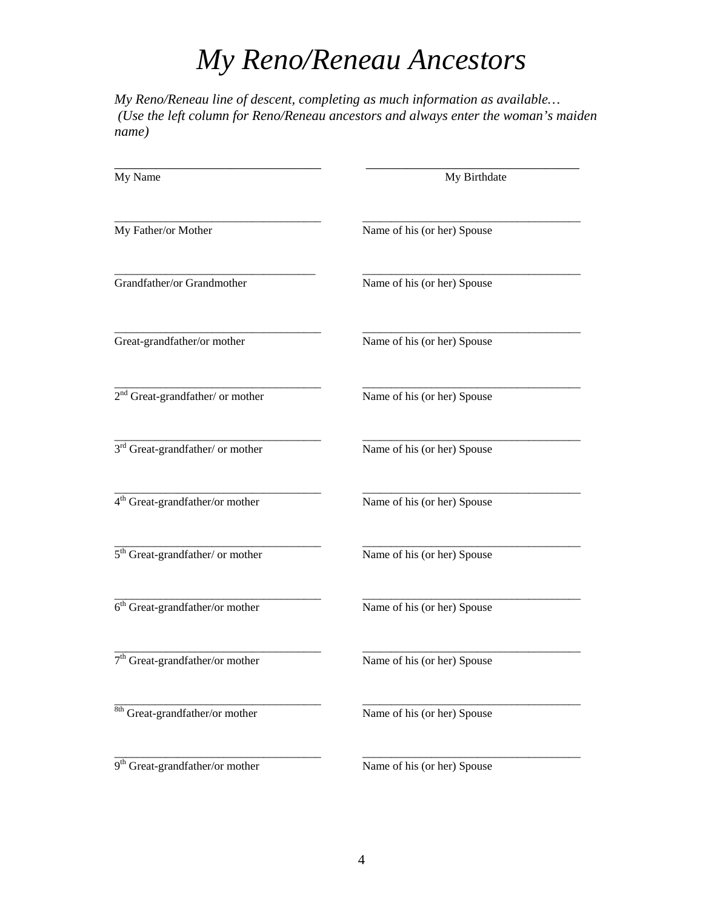# *My Reno/Reneau Ancestors*

*My Reno/Reneau line of descent, completing as much information as available… (Use the left column for Reno/Reneau ancestors and always enter the woman's maiden name)* 

| My Name                                      | My Birthdate                |  |
|----------------------------------------------|-----------------------------|--|
| My Father/or Mother                          | Name of his (or her) Spouse |  |
| Grandfather/or Grandmother                   | Name of his (or her) Spouse |  |
| Great-grandfather/or mother                  | Name of his (or her) Spouse |  |
| $2nd$ Great-grandfather/ or mother           | Name of his (or her) Spouse |  |
| 3 <sup>rd</sup> Great-grandfather/ or mother | Name of his (or her) Spouse |  |
| 4 <sup>th</sup> Great-grandfather/or mother  | Name of his (or her) Spouse |  |
| $5th Great-grandfather/ or mother$           | Name of his (or her) Spouse |  |
| $6th Great-grandfather/or mother$            | Name of his (or her) Spouse |  |
| $7th$ Great-grandfather/or mother            | Name of his (or her) Spouse |  |
| $8th$ Great-grandfather/or mother            | Name of his (or her) Spouse |  |
| 9 <sup>th</sup> Great-grandfather/or mother  | Name of his (or her) Spouse |  |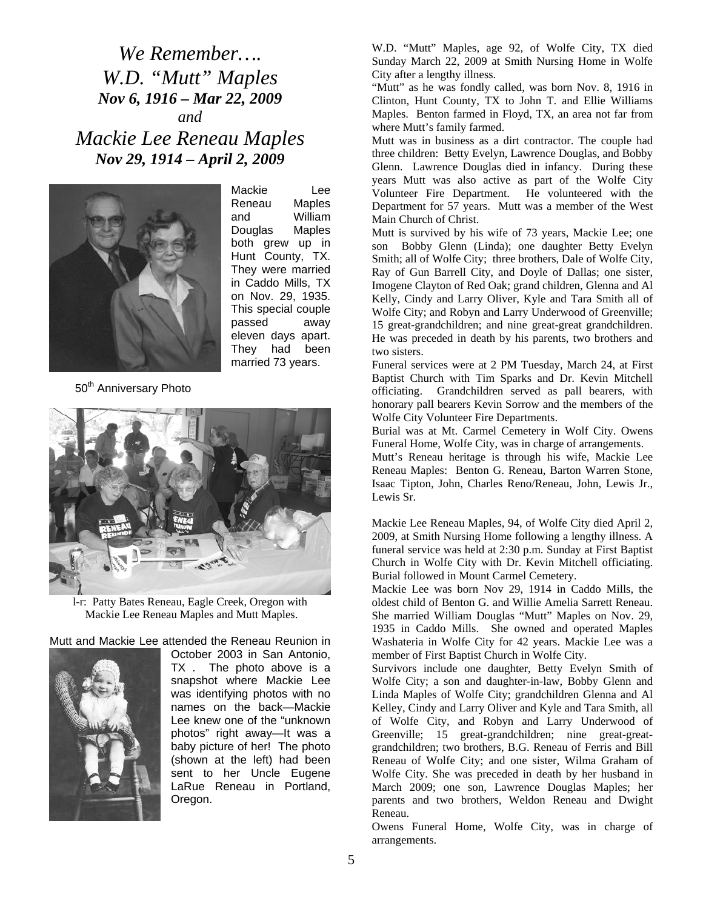*We Remember…. W.D. "Mutt" Maples Nov 6, 1916 – Mar 22, 2009 and Mackie Lee Reneau Maples Nov 29, 1914 – April 2, 2009* 



Mackie Lee Reneau Maples and William Douglas Maples both grew up in Hunt County, TX. They were married in Caddo Mills, TX on Nov. 29, 1935. This special couple passed away eleven days apart. They had been married 73 years.

50<sup>th</sup> Anniversary Photo



l-r: Patty Bates Reneau, Eagle Creek, Oregon with Mackie Lee Reneau Maples and Mutt Maples.

Mutt and Mackie Lee attended the Reneau Reunion in



October 2003 in San Antonio, TX . The photo above is a snapshot where Mackie Lee was identifying photos with no names on the back—Mackie Lee knew one of the "unknown photos" right away—It was a baby picture of her! The photo (shown at the left) had been sent to her Uncle Eugene LaRue Reneau in Portland, Oregon.

W.D. "Mutt" Maples, age 92, of Wolfe City, TX died Sunday March 22, 2009 at Smith Nursing Home in Wolfe City after a lengthy illness.

"Mutt" as he was fondly called, was born Nov. 8, 1916 in Clinton, Hunt County, TX to John T. and Ellie Williams Maples. Benton farmed in Floyd, TX, an area not far from where Mutt's family farmed.

Mutt was in business as a dirt contractor. The couple had three children: Betty Evelyn, Lawrence Douglas, and Bobby Glenn. Lawrence Douglas died in infancy. During these years Mutt was also active as part of the Wolfe City Volunteer Fire Department. He volunteered with the Department for 57 years. Mutt was a member of the West Main Church of Christ.

Mutt is survived by his wife of 73 years, Mackie Lee; one son Bobby Glenn (Linda); one daughter Betty Evelyn Smith; all of Wolfe City; three brothers, Dale of Wolfe City, Ray of Gun Barrell City, and Doyle of Dallas; one sister, Imogene Clayton of Red Oak; grand children, Glenna and Al Kelly, Cindy and Larry Oliver, Kyle and Tara Smith all of Wolfe City; and Robyn and Larry Underwood of Greenville; 15 great-grandchildren; and nine great-great grandchildren. He was preceded in death by his parents, two brothers and two sisters.

Funeral services were at 2 PM Tuesday, March 24, at First Baptist Church with Tim Sparks and Dr. Kevin Mitchell officiating. Grandchildren served as pall bearers, with honorary pall bearers Kevin Sorrow and the members of the Wolfe City Volunteer Fire Departments.

Burial was at Mt. Carmel Cemetery in Wolf City. Owens Funeral Home, Wolfe City, was in charge of arrangements.

Mutt's Reneau heritage is through his wife, Mackie Lee Reneau Maples: Benton G. Reneau, Barton Warren Stone, Isaac Tipton, John, Charles Reno/Reneau, John, Lewis Jr., Lewis Sr.

Mackie Lee Reneau Maples, 94, of Wolfe City died April 2, 2009, at Smith Nursing Home following a lengthy illness. A funeral service was held at 2:30 p.m. Sunday at First Baptist Church in Wolfe City with Dr. Kevin Mitchell officiating. Burial followed in Mount Carmel Cemetery.

Mackie Lee was born Nov 29, 1914 in Caddo Mills, the oldest child of Benton G. and Willie Amelia Sarrett Reneau. She married William Douglas "Mutt" Maples on Nov. 29, 1935 in Caddo Mills. She owned and operated Maples Washateria in Wolfe City for 42 years. Mackie Lee was a member of First Baptist Church in Wolfe City.

Survivors include one daughter, Betty Evelyn Smith of Wolfe City; a son and daughter-in-law, Bobby Glenn and Linda Maples of Wolfe City; grandchildren Glenna and Al Kelley, Cindy and Larry Oliver and Kyle and Tara Smith, all of Wolfe City, and Robyn and Larry Underwood of Greenville; 15 great-grandchildren; nine great-greatgrandchildren; two brothers, B.G. Reneau of Ferris and Bill Reneau of Wolfe City; and one sister, Wilma Graham of Wolfe City. She was preceded in death by her husband in March 2009; one son, Lawrence Douglas Maples; her parents and two brothers, Weldon Reneau and Dwight Reneau.

Owens Funeral Home, Wolfe City, was in charge of arrangements.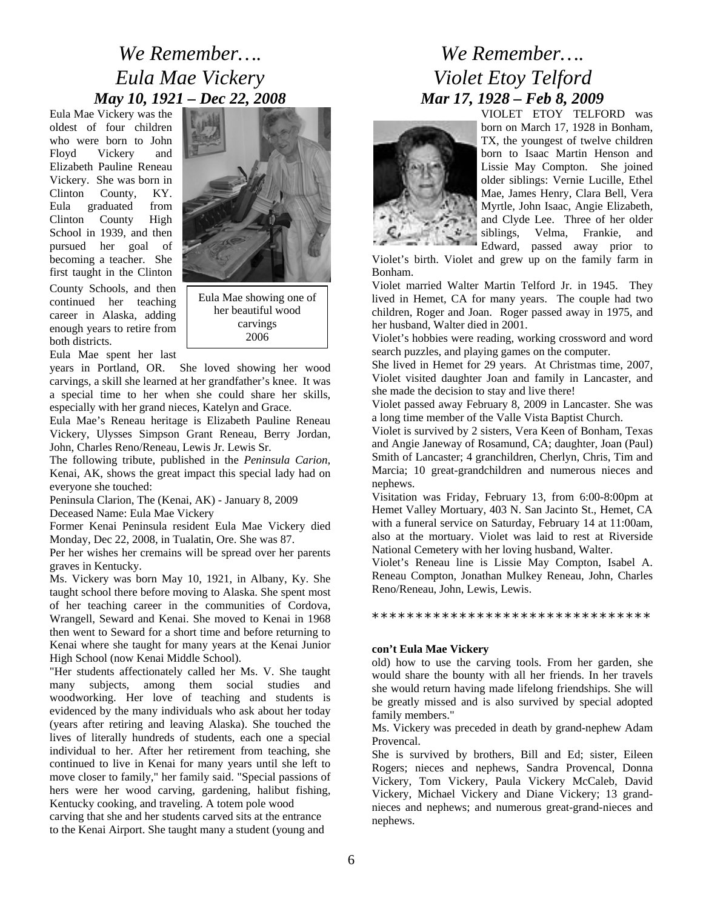# *We Remember…. Eula Mae Vickery May 10, 1921 – Dec 22, 2008*

Eula Mae Vickery was the oldest of four children who were born to John Floyd Vickery and Elizabeth Pauline Reneau Vickery. She was born in Clinton County, KY. Eula graduated from Clinton County High School in 1939, and then pursued her goal of becoming a teacher. She first taught in the Clinton

County Schools, and then continued her teaching career in Alaska, adding enough years to retire from both districts.

Eula Mae showing one of her beautiful wood carvings

Eula Mae spent her last

especially with her grand nieces, Katelyn and Grace. years in Portland, OR. She loved showing her wood carvings, a skill she learned at her grandfather's knee. It was a special time to her when she could share her skills,

Eula Mae's Reneau heritage is Elizabeth Pauline Reneau Vickery, Ulysses Simpson Grant Reneau, Berry Jordan, John, Charles Reno/Reneau, Lewis Jr. Lewis Sr.

The following tribute, published in the *Peninsula Carion*, Kenai, AK, shows the great impact this special lady had on everyone she touched:

Peninsula Clarion, The (Kenai, AK) - January 8, 2009 Deceased Name: Eula Mae Vickery

Former Kenai Peninsula resident Eula Mae Vickery died Monday, Dec 22, 2008, in Tualatin, Ore. She was 87.

Per her wishes her cremains will be spread over her parents graves in Kentucky.

Ms. Vickery was born May 10, 1921, in Albany, Ky. She taught school there before moving to Alaska. She spent most of her teaching career in the communities of Cordova, Wrangell, Seward and Kenai. She moved to Kenai in 1968 then went to Seward for a short time and before returning to Kenai where she taught for many years at the Kenai Junior High School (now Kenai Middle School).

"Her students affectionately called her Ms. V. She taught many subjects, among them social studies and woodworking. Her love of teaching and students is evidenced by the many individuals who ask about her today (years after retiring and leaving Alaska). She touched the lives of literally hundreds of students, each one a special individual to her. After her retirement from teaching, she continued to live in Kenai for many years until she left to move closer to family," her family said. "Special passions of hers were her wood carving, gardening, halibut fishing, Kentucky cooking, and traveling. A totem pole wood carving that she and her students carved sits at the entrance

to the Kenai Airport. She taught many a student (young and

# *We Remember…. Violet Etoy Telford Mar 17, 1928 – Feb 8, 2009*



VIOLET ETOY TELFORD was born on March 17, 1928 in Bonham, TX, the youngest of twelve children born to Isaac Martin Henson and Lissie May Compton. She joined older siblings: Vernie Lucille, Ethel Mae, James Henry, Clara Bell, Vera Myrtle, John Isaac, Angie Elizabeth, and Clyde Lee. Three of her older siblings, Velma, Frankie, and Edward, passed away prior to

Violet's birth. Violet and grew up on the family farm in Bonham.

Violet married Walter Martin Telford Jr. in 1945. They lived in Hemet, CA for many years. The couple had two children, Roger and Joan. Roger passed away in 1975, and her husband, Walter died in 2001.

2006 Violet's hobbies were reading, working crossword and word search puzzles, and playing games on the computer.

> She lived in Hemet for 29 years. At Christmas time, 2007, Violet visited daughter Joan and family in Lancaster, and she made the decision to stay and live there!

> Violet passed away February 8, 2009 in Lancaster. She was a long time member of the Valle Vista Baptist Church.

> Violet is survived by 2 sisters, Vera Keen of Bonham, Texas and Angie Janeway of Rosamund, CA; daughter, Joan (Paul) Smith of Lancaster; 4 granchildren, Cherlyn, Chris, Tim and Marcia; 10 great-grandchildren and numerous nieces and nephews.

> Visitation was Friday, February 13, from 6:00-8:00pm at Hemet Valley Mortuary, 403 N. San Jacinto St., Hemet, CA with a funeral service on Saturday, February 14 at 11:00am, also at the mortuary. Violet was laid to rest at Riverside National Cemetery with her loving husband, Walter.

> Violet's Reneau line is Lissie May Compton, Isabel A. Reneau Compton, Jonathan Mulkey Reneau, John, Charles Reno/Reneau, John, Lewis, Lewis.

\*\*\*\*\*\*\*\*\*\*\*\*\*\*\*\*\*\*\*\*\*\*\*\*\*\*\*\*\*\*\*\*

#### **con't Eula Mae Vickery**

old) how to use the carving tools. From her garden, she would share the bounty with all her friends. In her travels she would return having made lifelong friendships. She will be greatly missed and is also survived by special adopted family members."

Ms. Vickery was preceded in death by grand-nephew Adam Provencal.

She is survived by brothers, Bill and Ed; sister, Eileen Rogers; nieces and nephews, Sandra Provencal, Donna Vickery, Tom Vickery, Paula Vickery McCaleb, David Vickery, Michael Vickery and Diane Vickery; 13 grandnieces and nephews; and numerous great-grand-nieces and nephews.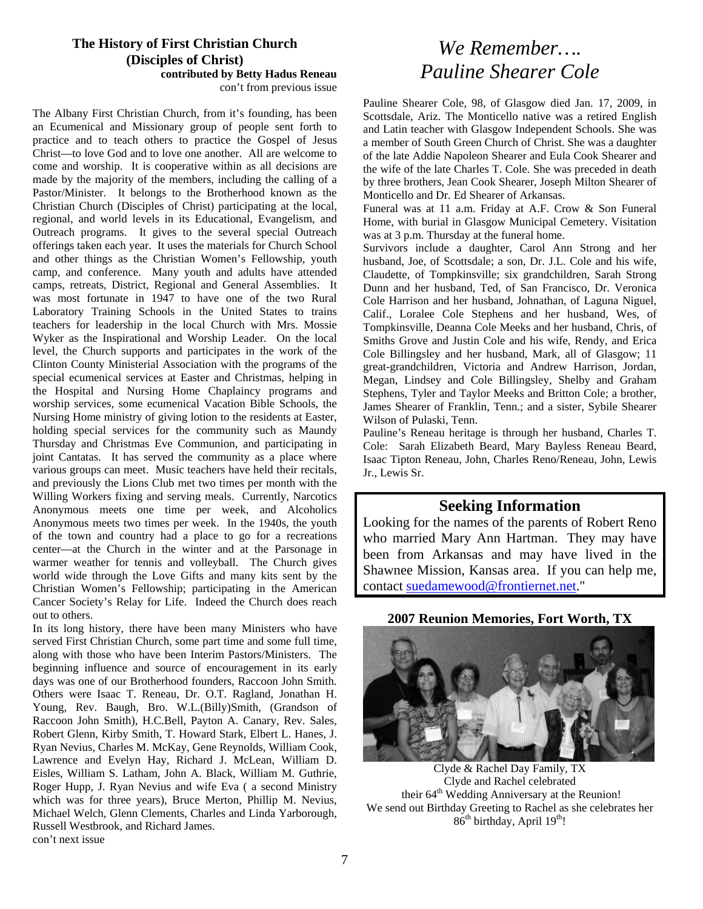# **The History of First Christian Church (Disciples of Christ) contributed by Betty Hadus Reneau**

con't from previous issue

The Albany First Christian Church, from it's founding, has been an Ecumenical and Missionary group of people sent forth to practice and to teach others to practice the Gospel of Jesus Christ—to love God and to love one another. All are welcome to come and worship. It is cooperative within as all decisions are made by the majority of the members, including the calling of a Pastor/Minister. It belongs to the Brotherhood known as the Christian Church (Disciples of Christ) participating at the local, regional, and world levels in its Educational, Evangelism, and Outreach programs. It gives to the several special Outreach offerings taken each year. It uses the materials for Church School and other things as the Christian Women's Fellowship, youth camp, and conference. Many youth and adults have attended camps, retreats, District, Regional and General Assemblies. It was most fortunate in 1947 to have one of the two Rural Laboratory Training Schools in the United States to trains teachers for leadership in the local Church with Mrs. Mossie Wyker as the Inspirational and Worship Leader. On the local level, the Church supports and participates in the work of the Clinton County Ministerial Association with the programs of the special ecumenical services at Easter and Christmas, helping in the Hospital and Nursing Home Chaplaincy programs and worship services, some ecumenical Vacation Bible Schools, the Nursing Home ministry of giving lotion to the residents at Easter, holding special services for the community such as Maundy Thursday and Christmas Eve Communion, and participating in joint Cantatas. It has served the community as a place where various groups can meet. Music teachers have held their recitals, and previously the Lions Club met two times per month with the Willing Workers fixing and serving meals. Currently, Narcotics Anonymous meets one time per week, and Alcoholics Anonymous meets two times per week. In the 1940s, the youth of the town and country had a place to go for a recreations center—at the Church in the winter and at the Parsonage in warmer weather for tennis and volleyball. The Church gives world wide through the Love Gifts and many kits sent by the Christian Women's Fellowship; participating in the American Cancer Society's Relay for Life. Indeed the Church does reach out to others.

In its long history, there have been many Ministers who have served First Christian Church, some part time and some full time, along with those who have been Interim Pastors/Ministers. The beginning influence and source of encouragement in its early days was one of our Brotherhood founders, Raccoon John Smith. Others were Isaac T. Reneau, Dr. O.T. Ragland, Jonathan H. Young, Rev. Baugh, Bro. W.L.(Billy)Smith, (Grandson of Raccoon John Smith), H.C.Bell, Payton A. Canary, Rev. Sales, Robert Glenn, Kirby Smith, T. Howard Stark, Elbert L. Hanes, J. Ryan Nevius, Charles M. McKay, Gene Reynolds, William Cook, Lawrence and Evelyn Hay, Richard J. McLean, William D. Eisles, William S. Latham, John A. Black, William M. Guthrie, Roger Hupp, J. Ryan Nevius and wife Eva ( a second Ministry which was for three years), Bruce Merton, Phillip M. Nevius, Michael Welch, Glenn Clements, Charles and Linda Yarborough, Russell Westbrook, and Richard James.

# *We Remember…. Pauline Shearer Cole*

Pauline Shearer Cole, 98, of Glasgow died Jan. 17, 2009, in Scottsdale, Ariz. The Monticello native was a retired English and Latin teacher with Glasgow Independent Schools. She was a member of South Green Church of Christ. She was a daughter of the late Addie Napoleon Shearer and Eula Cook Shearer and the wife of the late Charles T. Cole. She was preceded in death by three brothers, Jean Cook Shearer, Joseph Milton Shearer of Monticello and Dr. Ed Shearer of Arkansas.

Funeral was at 11 a.m. Friday at A.F. Crow & Son Funeral Home, with burial in Glasgow Municipal Cemetery. Visitation was at 3 p.m. Thursday at the funeral home.

Survivors include a daughter, Carol Ann Strong and her husband, Joe, of Scottsdale; a son, Dr. J.L. Cole and his wife, Claudette, of Tompkinsville; six grandchildren, Sarah Strong Dunn and her husband, Ted, of San Francisco, Dr. Veronica Cole Harrison and her husband, Johnathan, of Laguna Niguel, Calif., Loralee Cole Stephens and her husband, Wes, of Tompkinsville, Deanna Cole Meeks and her husband, Chris, of Smiths Grove and Justin Cole and his wife, Rendy, and Erica Cole Billingsley and her husband, Mark, all of Glasgow; 11 great-grandchildren, Victoria and Andrew Harrison, Jordan, Megan, Lindsey and Cole Billingsley, Shelby and Graham Stephens, Tyler and Taylor Meeks and Britton Cole; a brother, James Shearer of Franklin, Tenn.; and a sister, Sybile Shearer Wilson of Pulaski, Tenn.

Pauline's Reneau heritage is through her husband, Charles T. Cole: Sarah Elizabeth Beard, Mary Bayless Reneau Beard, Isaac Tipton Reneau, John, Charles Reno/Reneau, John, Lewis Jr., Lewis Sr.

### **Seeking Information**

Looking for the names of the parents of Robert Reno who married Mary Ann Hartman. They may have been from Arkansas and may have lived in the Shawnee Mission, Kansas area. If you can help me, contact [suedamewood@frontiernet.net](mailto:suedamewood@frontiernet.net)."

### **2007 Reunion Memories, Fort Worth, TX**



Clyde & Rachel Day Family, TX Clyde and Rachel celebrated their 64<sup>th</sup> Wedding Anniversary at the Reunion! We send out Birthday Greeting to Rachel as she celebrates her  $86<sup>th</sup>$  birthday, April  $19<sup>th</sup>$ !

con't next issue